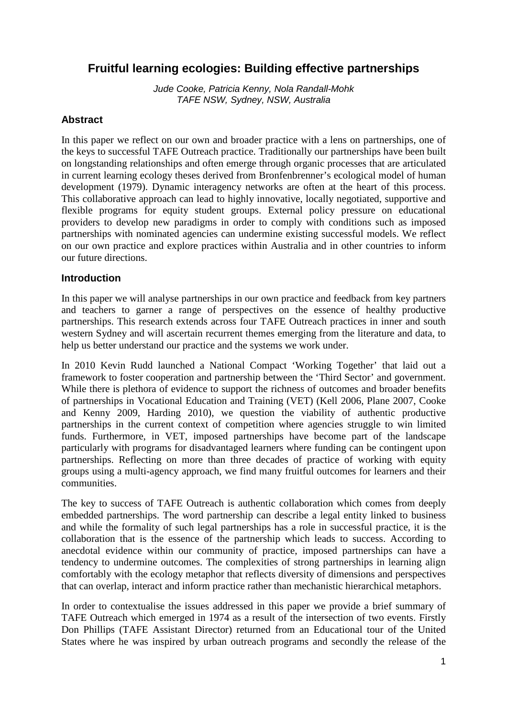# **Fruitful learning ecologies: Building effective partnerships**

Jude Cooke, Patricia Kenny, Nola Randall-Mohk TAFE NSW, Sydney, NSW, Australia

### **Abstract**

In this paper we reflect on our own and broader practice with a lens on partnerships, one of the keys to successful TAFE Outreach practice. Traditionally our partnerships have been built on longstanding relationships and often emerge through organic processes that are articulated in current learning ecology theses derived from Bronfenbrenner's ecological model of human development (1979). Dynamic interagency networks are often at the heart of this process. This collaborative approach can lead to highly innovative, locally negotiated, supportive and flexible programs for equity student groups. External policy pressure on educational providers to develop new paradigms in order to comply with conditions such as imposed partnerships with nominated agencies can undermine existing successful models. We reflect on our own practice and explore practices within Australia and in other countries to inform our future directions.

#### **Introduction**

In this paper we will analyse partnerships in our own practice and feedback from key partners and teachers to garner a range of perspectives on the essence of healthy productive partnerships. This research extends across four TAFE Outreach practices in inner and south western Sydney and will ascertain recurrent themes emerging from the literature and data, to help us better understand our practice and the systems we work under.

In 2010 Kevin Rudd launched a National Compact 'Working Together' that laid out a framework to foster cooperation and partnership between the 'Third Sector' and government. While there is plethora of evidence to support the richness of outcomes and broader benefits of partnerships in Vocational Education and Training (VET) (Kell 2006, Plane 2007, Cooke and Kenny 2009, Harding 2010), we question the viability of authentic productive partnerships in the current context of competition where agencies struggle to win limited funds. Furthermore, in VET, imposed partnerships have become part of the landscape particularly with programs for disadvantaged learners where funding can be contingent upon partnerships. Reflecting on more than three decades of practice of working with equity groups using a multi-agency approach, we find many fruitful outcomes for learners and their communities.

The key to success of TAFE Outreach is authentic collaboration which comes from deeply embedded partnerships. The word partnership can describe a legal entity linked to business and while the formality of such legal partnerships has a role in successful practice, it is the collaboration that is the essence of the partnership which leads to success. According to anecdotal evidence within our community of practice, imposed partnerships can have a tendency to undermine outcomes. The complexities of strong partnerships in learning align comfortably with the ecology metaphor that reflects diversity of dimensions and perspectives that can overlap, interact and inform practice rather than mechanistic hierarchical metaphors.

In order to contextualise the issues addressed in this paper we provide a brief summary of TAFE Outreach which emerged in 1974 as a result of the intersection of two events. Firstly Don Phillips (TAFE Assistant Director) returned from an Educational tour of the United States where he was inspired by urban outreach programs and secondly the release of the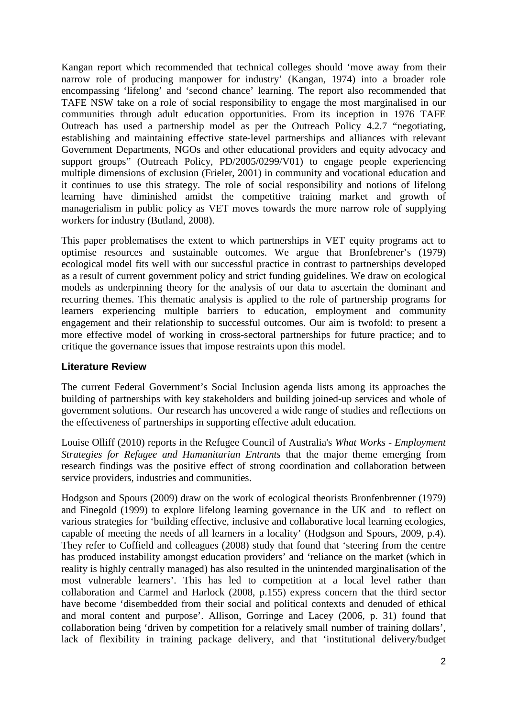Kangan report which recommended that technical colleges should 'move away from their narrow role of producing manpower for industry' (Kangan, 1974) into a broader role encompassing 'lifelong' and 'second chance' learning. The report also recommended that TAFE NSW take on a role of social responsibility to engage the most marginalised in our communities through adult education opportunities. From its inception in 1976 TAFE Outreach has used a partnership model as per the Outreach Policy 4.2.7 "negotiating, establishing and maintaining effective state-level partnerships and alliances with relevant Government Departments, NGOs and other educational providers and equity advocacy and support groups" (Outreach Policy, PD/2005/0299/V01) to engage people experiencing multiple dimensions of exclusion (Frieler, 2001) in community and vocational education and it continues to use this strategy. The role of social responsibility and notions of lifelong learning have diminished amidst the competitive training market and growth of managerialism in public policy as VET moves towards the more narrow role of supplying workers for industry (Butland, 2008).

This paper problematises the extent to which partnerships in VET equity programs act to optimise resources and sustainable outcomes. We argue that Bronfebrener's (1979) ecological model fits well with our successful practice in contrast to partnerships developed as a result of current government policy and strict funding guidelines. We draw on ecological models as underpinning theory for the analysis of our data to ascertain the dominant and recurring themes. This thematic analysis is applied to the role of partnership programs for learners experiencing multiple barriers to education, employment and community engagement and their relationship to successful outcomes. Our aim is twofold: to present a more effective model of working in cross-sectoral partnerships for future practice; and to critique the governance issues that impose restraints upon this model.

### **Literature Review**

The current Federal Government's Social Inclusion agenda lists among its approaches the building of partnerships with key stakeholders and building joined-up services and whole of government solutions. Our research has uncovered a wide range of studies and reflections on the effectiveness of partnerships in supporting effective adult education.

Louise Olliff (2010) reports in the Refugee Council of Australia's *What Works - Employment Strategies for Refugee and Humanitarian Entrants* that the major theme emerging from research findings was the positive effect of strong coordination and collaboration between service providers, industries and communities.

Hodgson and Spours (2009) draw on the work of ecological theorists Bronfenbrenner (1979) and Finegold (1999) to explore lifelong learning governance in the UK and to reflect on various strategies for 'building effective, inclusive and collaborative local learning ecologies, capable of meeting the needs of all learners in a locality' (Hodgson and Spours, 2009, p.4). They refer to Coffield and colleagues (2008) study that found that 'steering from the centre has produced instability amongst education providers' and 'reliance on the market (which in reality is highly centrally managed) has also resulted in the unintended marginalisation of the most vulnerable learners'. This has led to competition at a local level rather than collaboration and Carmel and Harlock (2008, p.155) express concern that the third sector have become 'disembedded from their social and political contexts and denuded of ethical and moral content and purpose'. Allison, Gorringe and Lacey (2006, p. 31) found that collaboration being 'driven by competition for a relatively small number of training dollars', lack of flexibility in training package delivery, and that 'institutional delivery/budget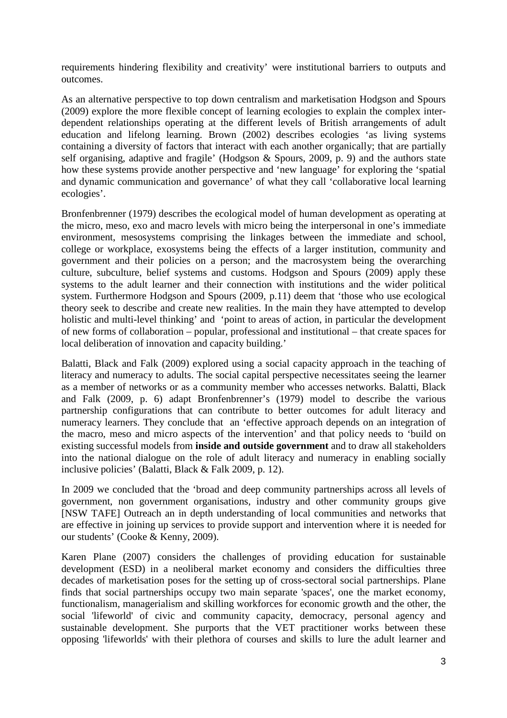requirements hindering flexibility and creativity' were institutional barriers to outputs and outcomes.

As an alternative perspective to top down centralism and marketisation Hodgson and Spours (2009) explore the more flexible concept of learning ecologies to explain the complex interdependent relationships operating at the different levels of British arrangements of adult education and lifelong learning. Brown (2002) describes ecologies 'as living systems containing a diversity of factors that interact with each another organically; that are partially self organising, adaptive and fragile' (Hodgson & Spours, 2009, p. 9) and the authors state how these systems provide another perspective and 'new language' for exploring the 'spatial and dynamic communication and governance' of what they call 'collaborative local learning ecologies'.

Bronfenbrenner (1979) describes the ecological model of human development as operating at the micro, meso, exo and macro levels with micro being the interpersonal in one's immediate environment, mesosystems comprising the linkages between the immediate and school, college or workplace, exosystems being the effects of a larger institution, community and government and their policies on a person; and the macrosystem being the overarching culture, subculture, belief systems and customs. Hodgson and Spours (2009) apply these systems to the adult learner and their connection with institutions and the wider political system. Furthermore Hodgson and Spours (2009, p.11) deem that 'those who use ecological theory seek to describe and create new realities. In the main they have attempted to develop holistic and multi-level thinking' and 'point to areas of action, in particular the development of new forms of collaboration – popular, professional and institutional – that create spaces for local deliberation of innovation and capacity building.'

Balatti, Black and Falk (2009) explored using a social capacity approach in the teaching of literacy and numeracy to adults. The social capital perspective necessitates seeing the learner as a member of networks or as a community member who accesses networks. Balatti, Black and Falk (2009, p. 6) adapt Bronfenbrenner's (1979) model to describe the various partnership configurations that can contribute to better outcomes for adult literacy and numeracy learners. They conclude that an 'effective approach depends on an integration of the macro, meso and micro aspects of the intervention' and that policy needs to 'build on existing successful models from **inside and outside government** and to draw all stakeholders into the national dialogue on the role of adult literacy and numeracy in enabling socially inclusive policies' (Balatti, Black & Falk 2009, p. 12).

In 2009 we concluded that the 'broad and deep community partnerships across all levels of government, non government organisations, industry and other community groups give [NSW TAFE] Outreach an in depth understanding of local communities and networks that are effective in joining up services to provide support and intervention where it is needed for our students' (Cooke & Kenny, 2009).

Karen Plane (2007) considers the challenges of providing education for sustainable development (ESD) in a neoliberal market economy and considers the difficulties three decades of marketisation poses for the setting up of cross-sectoral social partnerships. Plane finds that social partnerships occupy two main separate 'spaces', one the market economy, functionalism, managerialism and skilling workforces for economic growth and the other, the social 'lifeworld' of civic and community capacity, democracy, personal agency and sustainable development. She purports that the VET practitioner works between these opposing 'lifeworlds' with their plethora of courses and skills to lure the adult learner and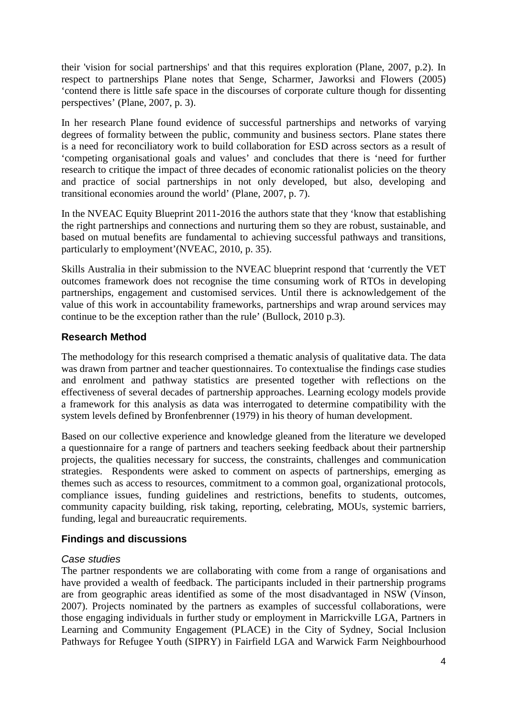their 'vision for social partnerships' and that this requires exploration (Plane, 2007, p.2). In respect to partnerships Plane notes that Senge, Scharmer, Jaworksi and Flowers (2005) 'contend there is little safe space in the discourses of corporate culture though for dissenting perspectives' (Plane, 2007, p. 3).

In her research Plane found evidence of successful partnerships and networks of varying degrees of formality between the public, community and business sectors. Plane states there is a need for reconciliatory work to build collaboration for ESD across sectors as a result of 'competing organisational goals and values' and concludes that there is 'need for further research to critique the impact of three decades of economic rationalist policies on the theory and practice of social partnerships in not only developed, but also, developing and transitional economies around the world' (Plane, 2007, p. 7).

In the NVEAC Equity Blueprint 2011-2016 the authors state that they 'know that establishing the right partnerships and connections and nurturing them so they are robust, sustainable, and based on mutual benefits are fundamental to achieving successful pathways and transitions, particularly to employment'(NVEAC, 2010, p. 35).

Skills Australia in their submission to the NVEAC blueprint respond that 'currently the VET outcomes framework does not recognise the time consuming work of RTOs in developing partnerships, engagement and customised services. Until there is acknowledgement of the value of this work in accountability frameworks, partnerships and wrap around services may continue to be the exception rather than the rule' (Bullock, 2010 p.3).

## **Research Method**

The methodology for this research comprised a thematic analysis of qualitative data. The data was drawn from partner and teacher questionnaires. To contextualise the findings case studies and enrolment and pathway statistics are presented together with reflections on the effectiveness of several decades of partnership approaches. Learning ecology models provide a framework for this analysis as data was interrogated to determine compatibility with the system levels defined by Bronfenbrenner (1979) in his theory of human development.

Based on our collective experience and knowledge gleaned from the literature we developed a questionnaire for a range of partners and teachers seeking feedback about their partnership projects, the qualities necessary for success, the constraints, challenges and communication strategies. Respondents were asked to comment on aspects of partnerships, emerging as themes such as access to resources, commitment to a common goal, organizational protocols, compliance issues, funding guidelines and restrictions, benefits to students, outcomes, community capacity building, risk taking, reporting, celebrating, MOUs, systemic barriers, funding, legal and bureaucratic requirements.

## **Findings and discussions**

### Case studies

The partner respondents we are collaborating with come from a range of organisations and have provided a wealth of feedback. The participants included in their partnership programs are from geographic areas identified as some of the most disadvantaged in NSW (Vinson, 2007). Projects nominated by the partners as examples of successful collaborations, were those engaging individuals in further study or employment in Marrickville LGA, Partners in Learning and Community Engagement (PLACE) in the City of Sydney, Social Inclusion Pathways for Refugee Youth (SIPRY) in Fairfield LGA and Warwick Farm Neighbourhood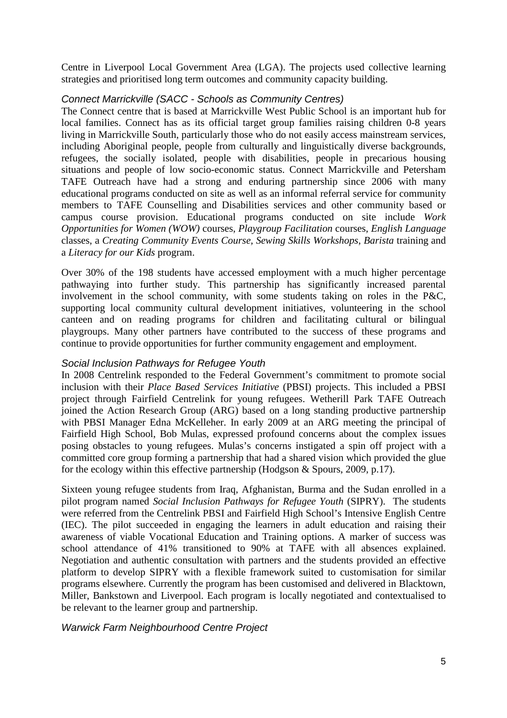Centre in Liverpool Local Government Area (LGA). The projects used collective learning strategies and prioritised long term outcomes and community capacity building.

### Connect Marrickville (SACC - Schools as Community Centres)

The Connect centre that is based at Marrickville West Public School is an important hub for local families. Connect has as its official target group families raising children 0-8 years living in Marrickville South, particularly those who do not easily access mainstream services, including Aboriginal people, people from culturally and linguistically diverse backgrounds, refugees, the socially isolated, people with disabilities, people in precarious housing situations and people of low socio-economic status. Connect Marrickville and Petersham TAFE Outreach have had a strong and enduring partnership since 2006 with many educational programs conducted on site as well as an informal referral service for community members to TAFE Counselling and Disabilities services and other community based or campus course provision. Educational programs conducted on site include *Work Opportunities for Women (WOW)* courses, *Playgroup Facilitation* courses, *English Language* classes, a *Creating Community Events Course, Sewing Skills Workshops, Barista* training and a *Literacy for our Kids* program.

Over 30% of the 198 students have accessed employment with a much higher percentage pathwaying into further study. This partnership has significantly increased parental involvement in the school community, with some students taking on roles in the P&C, supporting local community cultural development initiatives, volunteering in the school canteen and on reading programs for children and facilitating cultural or bilingual playgroups. Many other partners have contributed to the success of these programs and continue to provide opportunities for further community engagement and employment.

#### Social Inclusion Pathways for Refugee Youth

In 2008 Centrelink responded to the Federal Government's commitment to promote social inclusion with their *Place Based Services Initiative* (PBSI) projects. This included a PBSI project through Fairfield Centrelink for young refugees. Wetherill Park TAFE Outreach joined the Action Research Group (ARG) based on a long standing productive partnership with PBSI Manager Edna McKelleher. In early 2009 at an ARG meeting the principal of Fairfield High School, Bob Mulas, expressed profound concerns about the complex issues posing obstacles to young refugees. Mulas's concerns instigated a spin off project with a committed core group forming a partnership that had a shared vision which provided the glue for the ecology within this effective partnership (Hodgson & Spours, 2009, p.17).

Sixteen young refugee students from Iraq, Afghanistan, Burma and the Sudan enrolled in a pilot program named *Social Inclusion Pathways for Refugee Youth* (SIPRY). The students were referred from the Centrelink PBSI and Fairfield High School's Intensive English Centre (IEC). The pilot succeeded in engaging the learners in adult education and raising their awareness of viable Vocational Education and Training options. A marker of success was school attendance of 41% transitioned to 90% at TAFE with all absences explained. Negotiation and authentic consultation with partners and the students provided an effective platform to develop SIPRY with a flexible framework suited to customisation for similar programs elsewhere. Currently the program has been customised and delivered in Blacktown, Miller, Bankstown and Liverpool. Each program is locally negotiated and contextualised to be relevant to the learner group and partnership.

### Warwick Farm Neighbourhood Centre Project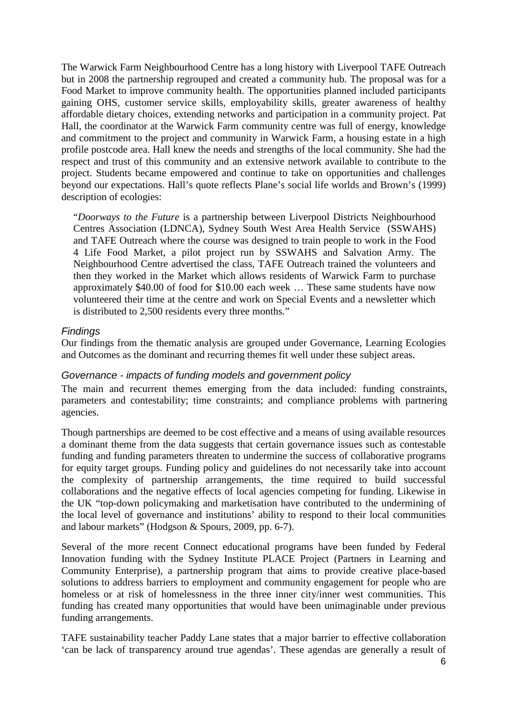The Warwick Farm Neighbourhood Centre has a long history with Liverpool TAFE Outreach but in 2008 the partnership regrouped and created a community hub. The proposal was for a Food Market to improve community health. The opportunities planned included participants gaining OHS, customer service skills, employability skills, greater awareness of healthy affordable dietary choices, extending networks and participation in a community project. Pat Hall, the coordinator at the Warwick Farm community centre was full of energy, knowledge and commitment to the project and community in Warwick Farm, a housing estate in a high profile postcode area. Hall knew the needs and strengths of the local community. She had the respect and trust of this community and an extensive network available to contribute to the project. Students became empowered and continue to take on opportunities and challenges beyond our expectations. Hall's quote reflects Plane's social life worlds and Brown's (1999) description of ecologies:

"*Doorways to the Future* is a partnership between Liverpool Districts Neighbourhood Centres Association (LDNCA), Sydney South West Area Health Service (SSWAHS) and TAFE Outreach where the course was designed to train people to work in the Food 4 Life Food Market, a pilot project run by SSWAHS and Salvation Army. The Neighbourhood Centre advertised the class, TAFE Outreach trained the volunteers and then they worked in the Market which allows residents of Warwick Farm to purchase approximately \$40.00 of food for \$10.00 each week … These same students have now volunteered their time at the centre and work on Special Events and a newsletter which is distributed to 2,500 residents every three months."

#### **Findings**

Our findings from the thematic analysis are grouped under Governance, Learning Ecologies and Outcomes as the dominant and recurring themes fit well under these subject areas.

#### Governance - impacts of funding models and government policy

The main and recurrent themes emerging from the data included: funding constraints, parameters and contestability; time constraints; and compliance problems with partnering agencies.

Though partnerships are deemed to be cost effective and a means of using available resources a dominant theme from the data suggests that certain governance issues such as contestable funding and funding parameters threaten to undermine the success of collaborative programs for equity target groups. Funding policy and guidelines do not necessarily take into account the complexity of partnership arrangements, the time required to build successful collaborations and the negative effects of local agencies competing for funding. Likewise in the UK "top-down policymaking and marketisation have contributed to the undermining of the local level of governance and institutions' ability to respond to their local communities and labour markets" (Hodgson & Spours, 2009, pp. 6-7).

Several of the more recent Connect educational programs have been funded by Federal Innovation funding with the Sydney Institute PLACE Project (Partners in Learning and Community Enterprise), a partnership program that aims to provide creative place-based solutions to address barriers to employment and community engagement for people who are homeless or at risk of homelessness in the three inner city/inner west communities. This funding has created many opportunities that would have been unimaginable under previous funding arrangements.

TAFE sustainability teacher Paddy Lane states that a major barrier to effective collaboration 'can be lack of transparency around true agendas'. These agendas are generally a result of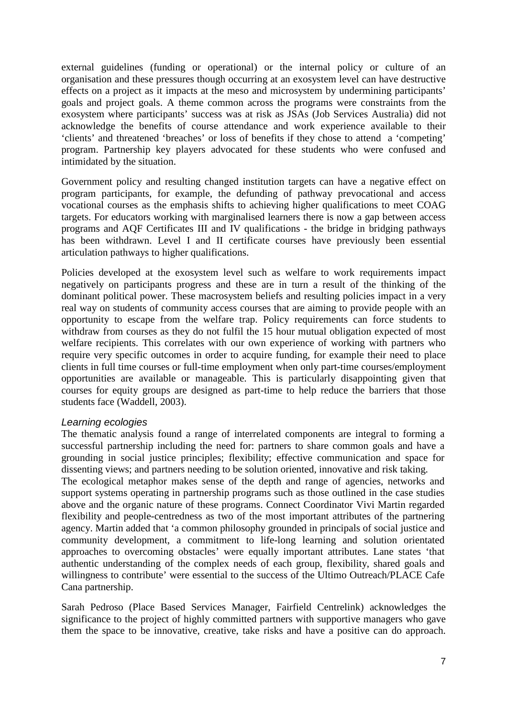external guidelines (funding or operational) or the internal policy or culture of an organisation and these pressures though occurring at an exosystem level can have destructive effects on a project as it impacts at the meso and microsystem by undermining participants' goals and project goals. A theme common across the programs were constraints from the exosystem where participants' success was at risk as JSAs (Job Services Australia) did not acknowledge the benefits of course attendance and work experience available to their 'clients' and threatened 'breaches' or loss of benefits if they chose to attend a 'competing' program. Partnership key players advocated for these students who were confused and intimidated by the situation.

Government policy and resulting changed institution targets can have a negative effect on program participants, for example, the defunding of pathway prevocational and access vocational courses as the emphasis shifts to achieving higher qualifications to meet COAG targets. For educators working with marginalised learners there is now a gap between access programs and AQF Certificates III and IV qualifications - the bridge in bridging pathways has been withdrawn. Level I and II certificate courses have previously been essential articulation pathways to higher qualifications.

Policies developed at the exosystem level such as welfare to work requirements impact negatively on participants progress and these are in turn a result of the thinking of the dominant political power. These macrosystem beliefs and resulting policies impact in a very real way on students of community access courses that are aiming to provide people with an opportunity to escape from the welfare trap. Policy requirements can force students to withdraw from courses as they do not fulfil the 15 hour mutual obligation expected of most welfare recipients. This correlates with our own experience of working with partners who require very specific outcomes in order to acquire funding, for example their need to place clients in full time courses or full-time employment when only part-time courses/employment opportunities are available or manageable. This is particularly disappointing given that courses for equity groups are designed as part-time to help reduce the barriers that those students face (Waddell, 2003).

#### Learning ecologies

The thematic analysis found a range of interrelated components are integral to forming a successful partnership including the need for: partners to share common goals and have a grounding in social justice principles; flexibility; effective communication and space for dissenting views; and partners needing to be solution oriented, innovative and risk taking. The ecological metaphor makes sense of the depth and range of agencies, networks and

support systems operating in partnership programs such as those outlined in the case studies above and the organic nature of these programs. Connect Coordinator Vivi Martin regarded flexibility and people-centredness as two of the most important attributes of the partnering agency. Martin added that 'a common philosophy grounded in principals of social justice and community development, a commitment to life-long learning and solution orientated approaches to overcoming obstacles' were equally important attributes. Lane states 'that authentic understanding of the complex needs of each group, flexibility, shared goals and willingness to contribute' were essential to the success of the Ultimo Outreach/PLACE Cafe Cana partnership.

Sarah Pedroso (Place Based Services Manager, Fairfield Centrelink) acknowledges the significance to the project of highly committed partners with supportive managers who gave them the space to be innovative, creative, take risks and have a positive can do approach.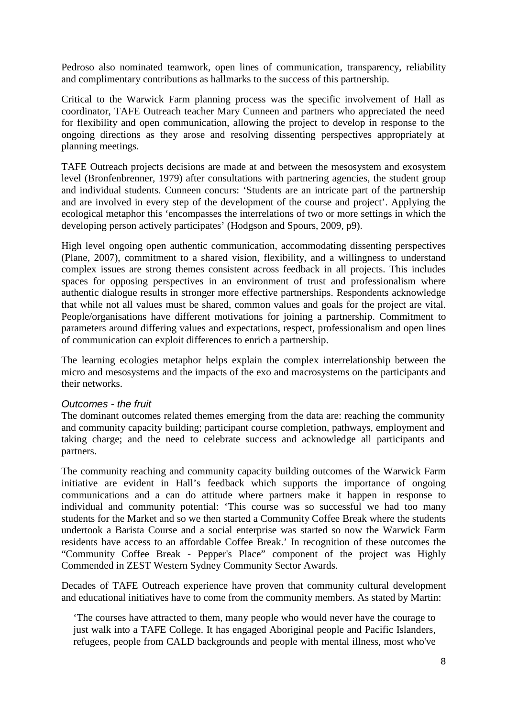Pedroso also nominated teamwork, open lines of communication, transparency, reliability and complimentary contributions as hallmarks to the success of this partnership.

Critical to the Warwick Farm planning process was the specific involvement of Hall as coordinator, TAFE Outreach teacher Mary Cunneen and partners who appreciated the need for flexibility and open communication, allowing the project to develop in response to the ongoing directions as they arose and resolving dissenting perspectives appropriately at planning meetings.

TAFE Outreach projects decisions are made at and between the mesosystem and exosystem level (Bronfenbrenner, 1979) after consultations with partnering agencies, the student group and individual students. Cunneen concurs: 'Students are an intricate part of the partnership and are involved in every step of the development of the course and project'. Applying the ecological metaphor this 'encompasses the interrelations of two or more settings in which the developing person actively participates' (Hodgson and Spours, 2009, p9).

High level ongoing open authentic communication, accommodating dissenting perspectives (Plane, 2007), commitment to a shared vision, flexibility, and a willingness to understand complex issues are strong themes consistent across feedback in all projects. This includes spaces for opposing perspectives in an environment of trust and professionalism where authentic dialogue results in stronger more effective partnerships. Respondents acknowledge that while not all values must be shared, common values and goals for the project are vital. People/organisations have different motivations for joining a partnership. Commitment to parameters around differing values and expectations, respect, professionalism and open lines of communication can exploit differences to enrich a partnership.

The learning ecologies metaphor helps explain the complex interrelationship between the micro and mesosystems and the impacts of the exo and macrosystems on the participants and their networks.

#### Outcomes - the fruit

The dominant outcomes related themes emerging from the data are: reaching the community and community capacity building; participant course completion, pathways, employment and taking charge; and the need to celebrate success and acknowledge all participants and partners.

The community reaching and community capacity building outcomes of the Warwick Farm initiative are evident in Hall's feedback which supports the importance of ongoing communications and a can do attitude where partners make it happen in response to individual and community potential: 'This course was so successful we had too many students for the Market and so we then started a Community Coffee Break where the students undertook a Barista Course and a social enterprise was started so now the Warwick Farm residents have access to an affordable Coffee Break.' In recognition of these outcomes the "Community Coffee Break - Pepper's Place" component of the project was Highly Commended in ZEST Western Sydney Community Sector Awards.

Decades of TAFE Outreach experience have proven that community cultural development and educational initiatives have to come from the community members. As stated by Martin:

'The courses have attracted to them, many people who would never have the courage to just walk into a TAFE College. It has engaged Aboriginal people and Pacific Islanders, refugees, people from CALD backgrounds and people with mental illness, most who've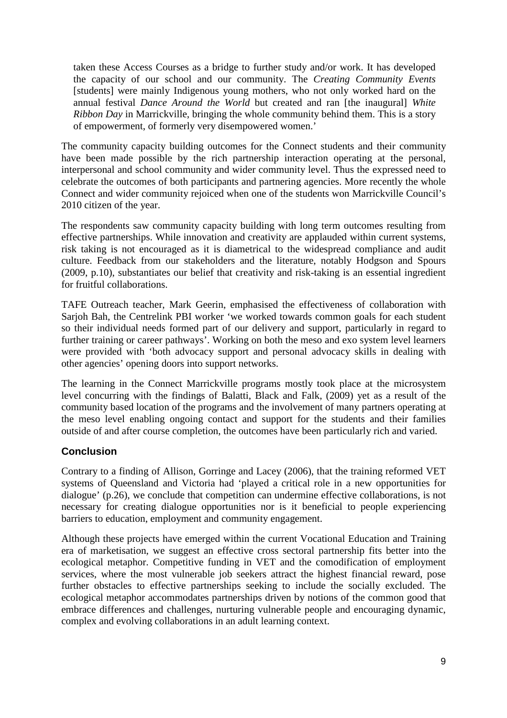taken these Access Courses as a bridge to further study and/or work. It has developed the capacity of our school and our community. The *Creating Community Events*  [students] were mainly Indigenous young mothers, who not only worked hard on the annual festival *Dance Around the World* but created and ran [the inaugural] *White Ribbon Day* in Marrickville, bringing the whole community behind them. This is a story of empowerment, of formerly very disempowered women.'

The community capacity building outcomes for the Connect students and their community have been made possible by the rich partnership interaction operating at the personal, interpersonal and school community and wider community level. Thus the expressed need to celebrate the outcomes of both participants and partnering agencies. More recently the whole Connect and wider community rejoiced when one of the students won Marrickville Council's 2010 citizen of the year.

The respondents saw community capacity building with long term outcomes resulting from effective partnerships. While innovation and creativity are applauded within current systems, risk taking is not encouraged as it is diametrical to the widespread compliance and audit culture. Feedback from our stakeholders and the literature, notably Hodgson and Spours (2009, p.10), substantiates our belief that creativity and risk-taking is an essential ingredient for fruitful collaborations.

TAFE Outreach teacher, Mark Geerin, emphasised the effectiveness of collaboration with Sarjoh Bah, the Centrelink PBI worker 'we worked towards common goals for each student so their individual needs formed part of our delivery and support, particularly in regard to further training or career pathways'. Working on both the meso and exo system level learners were provided with 'both advocacy support and personal advocacy skills in dealing with other agencies' opening doors into support networks.

The learning in the Connect Marrickville programs mostly took place at the microsystem level concurring with the findings of Balatti, Black and Falk, (2009) yet as a result of the community based location of the programs and the involvement of many partners operating at the meso level enabling ongoing contact and support for the students and their families outside of and after course completion, the outcomes have been particularly rich and varied.

## **Conclusion**

Contrary to a finding of Allison, Gorringe and Lacey (2006), that the training reformed VET systems of Queensland and Victoria had 'played a critical role in a new opportunities for dialogue' (p.26), we conclude that competition can undermine effective collaborations, is not necessary for creating dialogue opportunities nor is it beneficial to people experiencing barriers to education, employment and community engagement.

Although these projects have emerged within the current Vocational Education and Training era of marketisation, we suggest an effective cross sectoral partnership fits better into the ecological metaphor. Competitive funding in VET and the comodification of employment services, where the most vulnerable job seekers attract the highest financial reward, pose further obstacles to effective partnerships seeking to include the socially excluded. The ecological metaphor accommodates partnerships driven by notions of the common good that embrace differences and challenges, nurturing vulnerable people and encouraging dynamic, complex and evolving collaborations in an adult learning context.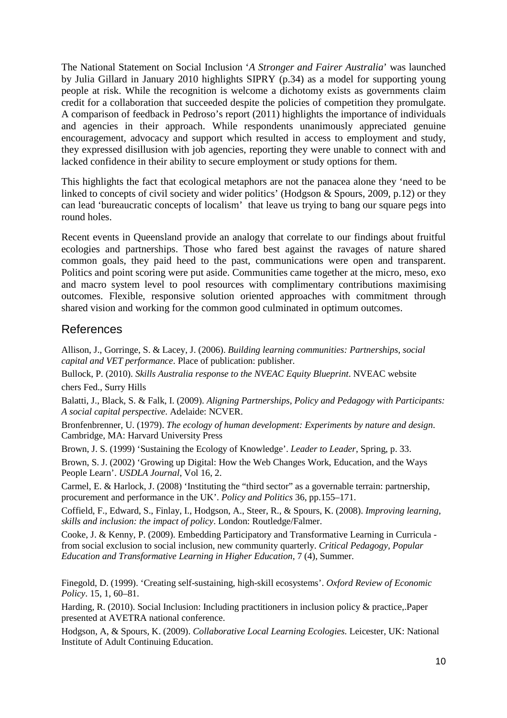The National Statement on Social Inclusion '*A Stronger and Fairer Australia*' was launched by Julia Gillard in January 2010 highlights SIPRY (p.34) as a model for supporting young people at risk. While the recognition is welcome a dichotomy exists as governments claim credit for a collaboration that succeeded despite the policies of competition they promulgate. A comparison of feedback in Pedroso's report (2011) highlights the importance of individuals and agencies in their approach. While respondents unanimously appreciated genuine encouragement, advocacy and support which resulted in access to employment and study, they expressed disillusion with job agencies, reporting they were unable to connect with and lacked confidence in their ability to secure employment or study options for them.

This highlights the fact that ecological metaphors are not the panacea alone they 'need to be linked to concepts of civil society and wider politics' (Hodgson & Spours, 2009, p.12) or they can lead 'bureaucratic concepts of localism' that leave us trying to bang our square pegs into round holes.

Recent events in Queensland provide an analogy that correlate to our findings about fruitful ecologies and partnerships. Those who fared best against the ravages of nature shared common goals, they paid heed to the past, communications were open and transparent. Politics and point scoring were put aside. Communities came together at the micro, meso, exo and macro system level to pool resources with complimentary contributions maximising outcomes. Flexible, responsive solution oriented approaches with commitment through shared vision and working for the common good culminated in optimum outcomes.

# References

Allison, J., Gorringe, S. & Lacey, J. (2006). *Building learning communities: Partnerships, social capital and VET performance*. Place of publication: publisher.

Bullock, P. (2010). *Skills Australia response to the NVEAC Equity Blueprint*. NVEAC website chers Fed., Surry Hills

Balatti, J., Black, S. & Falk, I. (2009). *Aligning Partnerships, Policy and Pedagogy with Participants: A social capital perspective*. Adelaide: NCVER.

Bronfenbrenner, U. (1979). *The ecology of human development: Experiments by nature and design*. Cambridge, MA: Harvard University Press

Brown, J. S. (1999) 'Sustaining the Ecology of Knowledge'. *Leader to Leader*, Spring, p. 33.

Brown, S. J. (2002) 'Growing up Digital: How the Web Changes Work, Education, and the Ways People Learn'. *USDLA Journal*, Vol 16, 2.

Carmel, E. & Harlock, J. (2008) 'Instituting the "third sector" as a governable terrain: partnership, procurement and performance in the UK'. *Policy and Politics* 36, pp.155–171.

Coffield, F., Edward, S., Finlay, I., Hodgson, A., Steer, R., & Spours, K. (2008). *Improving learning, skills and inclusion: the impact of policy*. London: Routledge/Falmer.

Cooke, J. & Kenny, P. (2009). Embedding Participatory and Transformative Learning in Curricula from social exclusion to social inclusion, new community quarterly. *Critical Pedagogy, Popular Education and Transformative Learning in Higher Education*, 7 (4), Summer.

Finegold, D. (1999). 'Creating self-sustaining, high-skill ecosystems'. *Oxford Review of Economic Policy*. 15, 1, 60–81.

Harding, R. (2010). Social Inclusion: Including practitioners in inclusion policy & practice,.Paper presented at AVETRA national conference.

Hodgson, A, & Spours, K. (2009). *Collaborative Local Learning Ecologies.* Leicester, UK: National Institute of Adult Continuing Education.